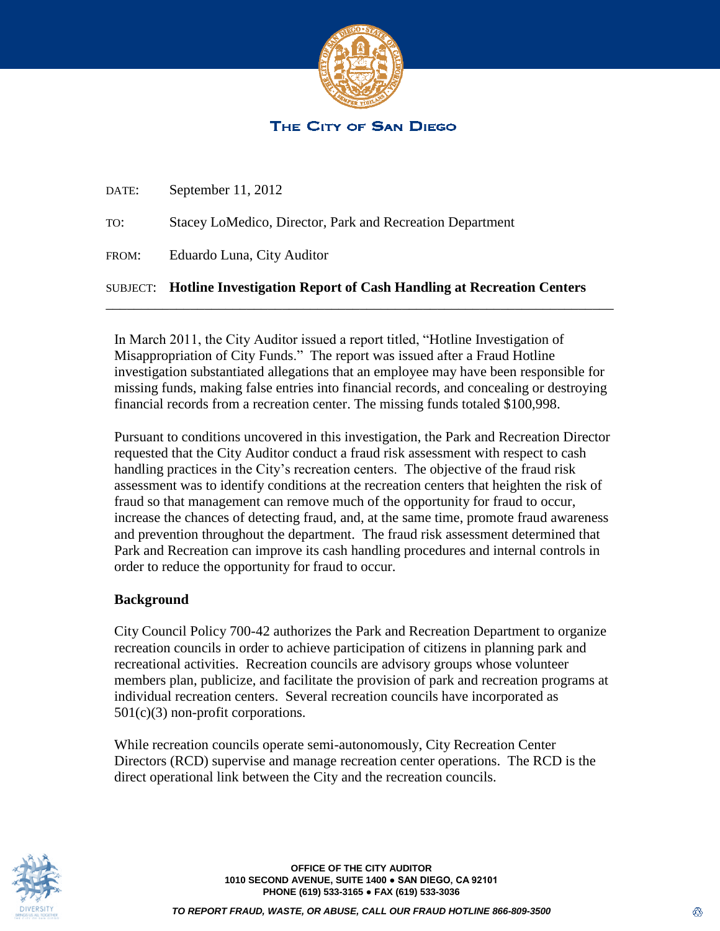

# THE CITY OF SAN DIEGO

|       | <b>SUBJECT:</b> Hotline Investigation Report of Cash Handling at Recreation Centers |
|-------|-------------------------------------------------------------------------------------|
| FROM: | Eduardo Luna, City Auditor                                                          |
| TO:   | Stacey LoMedico, Director, Park and Recreation Department                           |
| DATE: | September $11, 2012$                                                                |

In March 2011, the City Auditor issued a report titled, "Hotline Investigation of Misappropriation of City Funds." The report was issued after a Fraud Hotline investigation substantiated allegations that an employee may have been responsible for missing funds, making false entries into financial records, and concealing or destroying financial records from a recreation center. The missing funds totaled \$100,998.

\_\_\_\_\_\_\_\_\_\_\_\_\_\_\_\_\_\_\_\_\_\_\_\_\_\_\_\_\_\_\_\_\_\_\_\_\_\_\_\_\_\_\_\_\_\_\_\_\_\_\_\_\_\_\_\_\_\_\_\_\_\_\_\_\_\_\_\_\_\_\_\_

Pursuant to conditions uncovered in this investigation, the Park and Recreation Director requested that the City Auditor conduct a fraud risk assessment with respect to cash handling practices in the City's recreation centers. The objective of the fraud risk assessment was to identify conditions at the recreation centers that heighten the risk of fraud so that management can remove much of the opportunity for fraud to occur, increase the chances of detecting fraud, and, at the same time, promote fraud awareness and prevention throughout the department. The fraud risk assessment determined that Park and Recreation can improve its cash handling procedures and internal controls in order to reduce the opportunity for fraud to occur.

## **Background**

City Council Policy 700-42 authorizes the Park and Recreation Department to organize recreation councils in order to achieve participation of citizens in planning park and recreational activities. Recreation councils are advisory groups whose volunteer members plan, publicize, and facilitate the provision of park and recreation programs at individual recreation centers. Several recreation councils have incorporated as 501(c)(3) non-profit corporations.

While recreation councils operate semi-autonomously, City Recreation Center Directors (RCD) supervise and manage recreation center operations. The RCD is the direct operational link between the City and the recreation councils.



**OFFICE OF THE CITY AUDITOR 1010 SECOND AVENUE, SUITE 1400 ● SAN DIEGO, CA 92101 PHONE (619) 533-3165 ● FAX (619) 533-3036**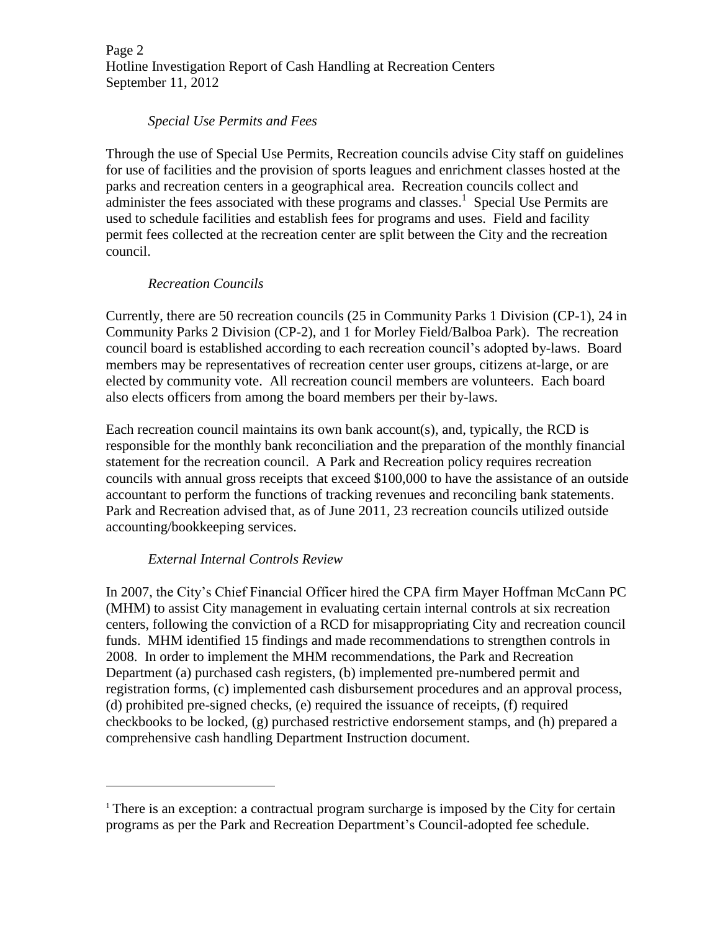Page 2 Hotline Investigation Report of Cash Handling at Recreation Centers September 11, 2012

### *Special Use Permits and Fees*

Through the use of Special Use Permits, Recreation councils advise City staff on guidelines for use of facilities and the provision of sports leagues and enrichment classes hosted at the parks and recreation centers in a geographical area. Recreation councils collect and administer the fees associated with these programs and classes.<sup>1</sup> Special Use Permits are used to schedule facilities and establish fees for programs and uses. Field and facility permit fees collected at the recreation center are split between the City and the recreation council.

## *Recreation Councils*

Currently, there are 50 recreation councils (25 in Community Parks 1 Division (CP-1), 24 in Community Parks 2 Division (CP-2), and 1 for Morley Field/Balboa Park). The recreation council board is established according to each recreation council's adopted by-laws. Board members may be representatives of recreation center user groups, citizens at-large, or are elected by community vote. All recreation council members are volunteers. Each board also elects officers from among the board members per their by-laws.

Each recreation council maintains its own bank account(s), and, typically, the RCD is responsible for the monthly bank reconciliation and the preparation of the monthly financial statement for the recreation council. A Park and Recreation policy requires recreation councils with annual gross receipts that exceed \$100,000 to have the assistance of an outside accountant to perform the functions of tracking revenues and reconciling bank statements. Park and Recreation advised that, as of June 2011, 23 recreation councils utilized outside accounting/bookkeeping services.

## *External Internal Controls Review*

 $\ddot{ }$ 

In 2007, the City's Chief Financial Officer hired the CPA firm Mayer Hoffman McCann PC (MHM) to assist City management in evaluating certain internal controls at six recreation centers, following the conviction of a RCD for misappropriating City and recreation council funds. MHM identified 15 findings and made recommendations to strengthen controls in 2008. In order to implement the MHM recommendations, the Park and Recreation Department (a) purchased cash registers, (b) implemented pre-numbered permit and registration forms, (c) implemented cash disbursement procedures and an approval process, (d) prohibited pre-signed checks, (e) required the issuance of receipts, (f) required checkbooks to be locked, (g) purchased restrictive endorsement stamps, and (h) prepared a comprehensive cash handling Department Instruction document.

<sup>&</sup>lt;sup>1</sup> There is an exception: a contractual program surcharge is imposed by the City for certain programs as per the Park and Recreation Department's Council-adopted fee schedule.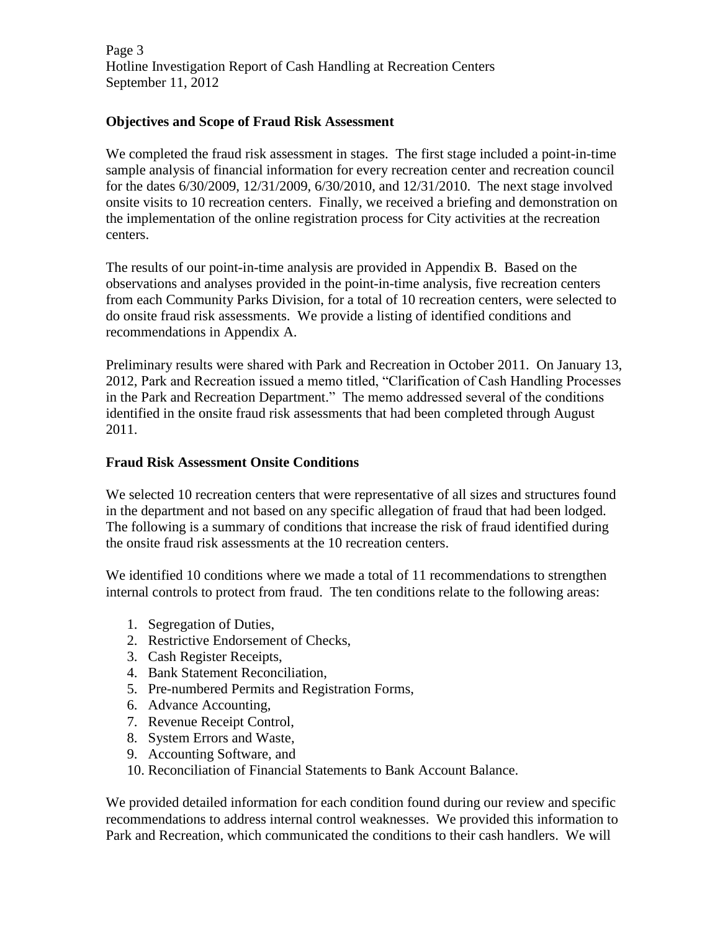Page 3 Hotline Investigation Report of Cash Handling at Recreation Centers September 11, 2012

## **Objectives and Scope of Fraud Risk Assessment**

We completed the fraud risk assessment in stages. The first stage included a point-in-time sample analysis of financial information for every recreation center and recreation council for the dates 6/30/2009, 12/31/2009, 6/30/2010, and 12/31/2010. The next stage involved onsite visits to 10 recreation centers. Finally, we received a briefing and demonstration on the implementation of the online registration process for City activities at the recreation centers.

The results of our point-in-time analysis are provided in Appendix B. Based on the observations and analyses provided in the point-in-time analysis, five recreation centers from each Community Parks Division, for a total of 10 recreation centers, were selected to do onsite fraud risk assessments. We provide a listing of identified conditions and recommendations in Appendix A.

Preliminary results were shared with Park and Recreation in October 2011. On January 13, 2012, Park and Recreation issued a memo titled, "Clarification of Cash Handling Processes in the Park and Recreation Department." The memo addressed several of the conditions identified in the onsite fraud risk assessments that had been completed through August 2011.

## **Fraud Risk Assessment Onsite Conditions**

We selected 10 recreation centers that were representative of all sizes and structures found in the department and not based on any specific allegation of fraud that had been lodged. The following is a summary of conditions that increase the risk of fraud identified during the onsite fraud risk assessments at the 10 recreation centers.

We identified 10 conditions where we made a total of 11 recommendations to strengthen internal controls to protect from fraud. The ten conditions relate to the following areas:

- 1. Segregation of Duties,
- 2. Restrictive Endorsement of Checks,
- 3. Cash Register Receipts,
- 4. Bank Statement Reconciliation,
- 5. Pre-numbered Permits and Registration Forms,
- 6. Advance Accounting,
- 7. Revenue Receipt Control,
- 8. System Errors and Waste,
- 9. Accounting Software, and
- 10. Reconciliation of Financial Statements to Bank Account Balance.

We provided detailed information for each condition found during our review and specific recommendations to address internal control weaknesses. We provided this information to Park and Recreation, which communicated the conditions to their cash handlers. We will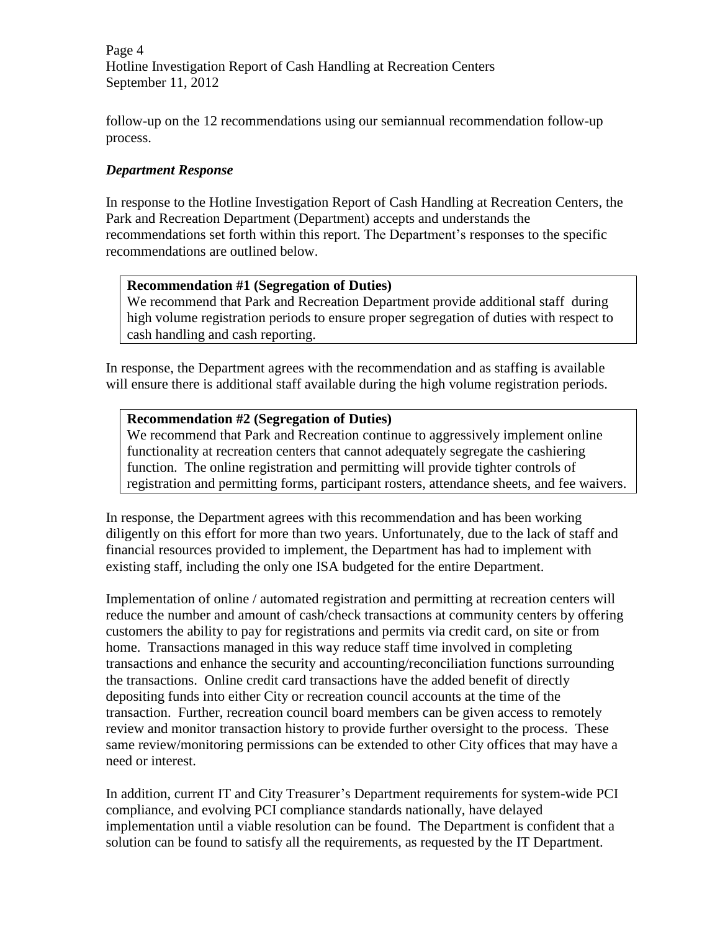Page 4 Hotline Investigation Report of Cash Handling at Recreation Centers September 11, 2012

follow-up on the 12 recommendations using our semiannual recommendation follow-up process.

# *Department Response*

In response to the Hotline Investigation Report of Cash Handling at Recreation Centers, the Park and Recreation Department (Department) accepts and understands the recommendations set forth within this report. The Department's responses to the specific recommendations are outlined below.

## **Recommendation #1 (Segregation of Duties)**

We recommend that Park and Recreation Department provide additional staff during high volume registration periods to ensure proper segregation of duties with respect to cash handling and cash reporting.

In response, the Department agrees with the recommendation and as staffing is available will ensure there is additional staff available during the high volume registration periods.

#### **Recommendation #2 (Segregation of Duties)**

We recommend that Park and Recreation continue to aggressively implement online functionality at recreation centers that cannot adequately segregate the cashiering function. The online registration and permitting will provide tighter controls of registration and permitting forms, participant rosters, attendance sheets, and fee waivers.

In response, the Department agrees with this recommendation and has been working diligently on this effort for more than two years. Unfortunately, due to the lack of staff and financial resources provided to implement, the Department has had to implement with existing staff, including the only one ISA budgeted for the entire Department.

Implementation of online / automated registration and permitting at recreation centers will reduce the number and amount of cash/check transactions at community centers by offering customers the ability to pay for registrations and permits via credit card, on site or from home. Transactions managed in this way reduce staff time involved in completing transactions and enhance the security and accounting/reconciliation functions surrounding the transactions. Online credit card transactions have the added benefit of directly depositing funds into either City or recreation council accounts at the time of the transaction. Further, recreation council board members can be given access to remotely review and monitor transaction history to provide further oversight to the process. These same review/monitoring permissions can be extended to other City offices that may have a need or interest.

In addition, current IT and City Treasurer's Department requirements for system-wide PCI compliance, and evolving PCI compliance standards nationally, have delayed implementation until a viable resolution can be found. The Department is confident that a solution can be found to satisfy all the requirements, as requested by the IT Department.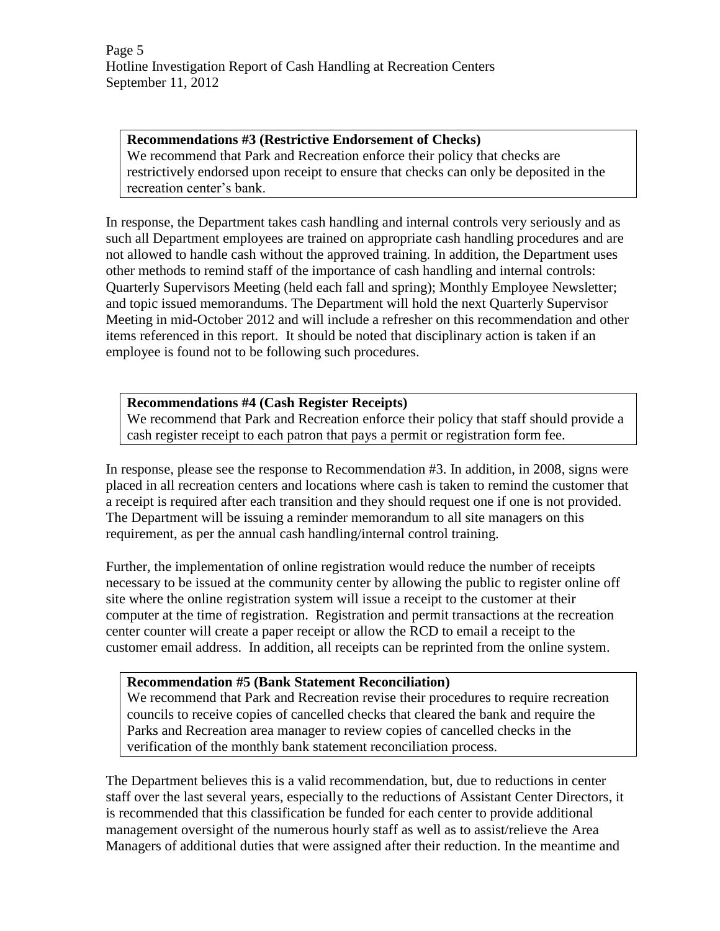Page 5 Hotline Investigation Report of Cash Handling at Recreation Centers September 11, 2012

**Recommendations #3 (Restrictive Endorsement of Checks)** We recommend that Park and Recreation enforce their policy that checks are restrictively endorsed upon receipt to ensure that checks can only be deposited in the recreation center's bank.

In response, the Department takes cash handling and internal controls very seriously and as such all Department employees are trained on appropriate cash handling procedures and are not allowed to handle cash without the approved training. In addition, the Department uses other methods to remind staff of the importance of cash handling and internal controls: Quarterly Supervisors Meeting (held each fall and spring); Monthly Employee Newsletter; and topic issued memorandums. The Department will hold the next Quarterly Supervisor Meeting in mid-October 2012 and will include a refresher on this recommendation and other items referenced in this report. It should be noted that disciplinary action is taken if an employee is found not to be following such procedures.

## **Recommendations #4 (Cash Register Receipts)**

We recommend that Park and Recreation enforce their policy that staff should provide a cash register receipt to each patron that pays a permit or registration form fee.

In response, please see the response to Recommendation #3. In addition, in 2008, signs were placed in all recreation centers and locations where cash is taken to remind the customer that a receipt is required after each transition and they should request one if one is not provided. The Department will be issuing a reminder memorandum to all site managers on this requirement, as per the annual cash handling/internal control training.

Further, the implementation of online registration would reduce the number of receipts necessary to be issued at the community center by allowing the public to register online off site where the online registration system will issue a receipt to the customer at their computer at the time of registration. Registration and permit transactions at the recreation center counter will create a paper receipt or allow the RCD to email a receipt to the customer email address. In addition, all receipts can be reprinted from the online system.

#### **Recommendation #5 (Bank Statement Reconciliation)**

We recommend that Park and Recreation revise their procedures to require recreation councils to receive copies of cancelled checks that cleared the bank and require the Parks and Recreation area manager to review copies of cancelled checks in the verification of the monthly bank statement reconciliation process.

The Department believes this is a valid recommendation, but, due to reductions in center staff over the last several years, especially to the reductions of Assistant Center Directors, it is recommended that this classification be funded for each center to provide additional management oversight of the numerous hourly staff as well as to assist/relieve the Area Managers of additional duties that were assigned after their reduction. In the meantime and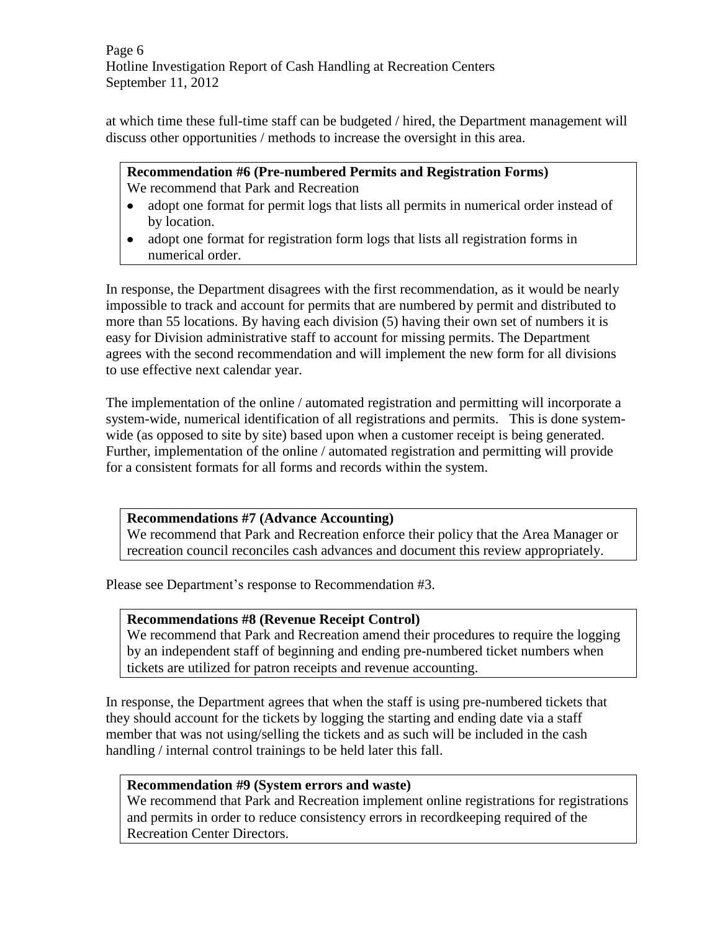Page 6 Hotline Investigation Report of Cash Handling at Recreation Centers September 11, 2012

at which time these full-time staff can be budgeted / hired, the Department management will discuss other opportunities / methods to increase the oversight in this area.

### **Recommendation #6 (Pre-numbered Permits and Registration Forms)** We recommend that Park and Recreation

- adopt one format for permit logs that lists all permits in numerical order instead of  $\bullet$ by location.
- adopt one format for registration form logs that lists all registration forms in numerical order.

In response, the Department disagrees with the first recommendation, as it would be nearly impossible to track and account for permits that are numbered by permit and distributed to more than 55 locations. By having each division (5) having their own set of numbers it is easy for Division administrative staff to account for missing permits. The Department agrees with the second recommendation and will implement the new form for all divisions to use effective next calendar year.

The implementation of the online / automated registration and permitting will incorporate a system-wide, numerical identification of all registrations and permits. This is done systemwide (as opposed to site by site) based upon when a customer receipt is being generated. Further, implementation of the online / automated registration and permitting will provide for a consistent formats for all forms and records within the system.

## **Recommendations #7 (Advance Accounting)**

We recommend that Park and Recreation enforce their policy that the Area Manager or recreation council reconciles cash advances and document this review appropriately.

Please see Department's response to Recommendation #3.

# **Recommendations #8 (Revenue Receipt Control)**

We recommend that Park and Recreation amend their procedures to require the logging by an independent staff of beginning and ending pre-numbered ticket numbers when tickets are utilized for patron receipts and revenue accounting.

In response, the Department agrees that when the staff is using pre-numbered tickets that they should account for the tickets by logging the starting and ending date via a staff member that was not using/selling the tickets and as such will be included in the cash handling / internal control trainings to be held later this fall.

# **Recommendation #9 (System errors and waste)**

We recommend that Park and Recreation implement online registrations for registrations and permits in order to reduce consistency errors in recordkeeping required of the Recreation Center Directors.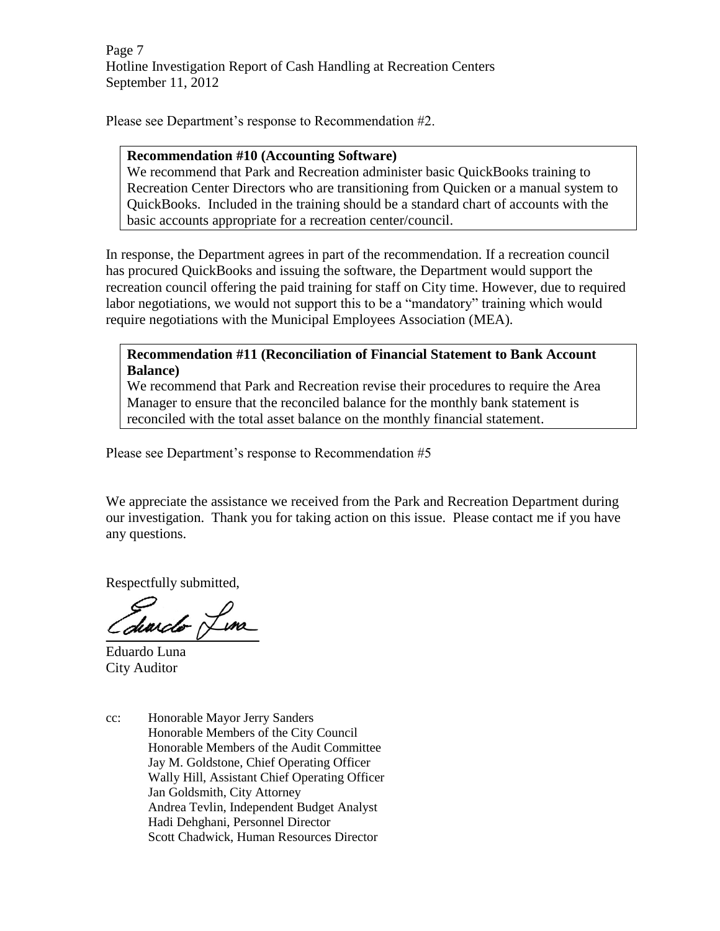Page 7 Hotline Investigation Report of Cash Handling at Recreation Centers September 11, 2012

Please see Department's response to Recommendation #2.

#### **Recommendation #10 (Accounting Software)**

We recommend that Park and Recreation administer basic QuickBooks training to Recreation Center Directors who are transitioning from Quicken or a manual system to QuickBooks. Included in the training should be a standard chart of accounts with the basic accounts appropriate for a recreation center/council.

In response, the Department agrees in part of the recommendation. If a recreation council has procured QuickBooks and issuing the software, the Department would support the recreation council offering the paid training for staff on City time. However, due to required labor negotiations, we would not support this to be a "mandatory" training which would require negotiations with the Municipal Employees Association (MEA).

**Recommendation #11 (Reconciliation of Financial Statement to Bank Account Balance)**

We recommend that Park and Recreation revise their procedures to require the Area Manager to ensure that the reconciled balance for the monthly bank statement is reconciled with the total asset balance on the monthly financial statement.

Please see Department's response to Recommendation #5

We appreciate the assistance we received from the Park and Recreation Department during our investigation. Thank you for taking action on this issue. Please contact me if you have any questions.

Respectfully submitted,

diardo Lina

Eduardo Luna City Auditor

cc: Honorable Mayor Jerry Sanders Honorable Members of the City Council Honorable Members of the Audit Committee Jay M. Goldstone, Chief Operating Officer Wally Hill, Assistant Chief Operating Officer Jan Goldsmith, City Attorney Andrea Tevlin, Independent Budget Analyst Hadi Dehghani, Personnel Director Scott Chadwick, Human Resources Director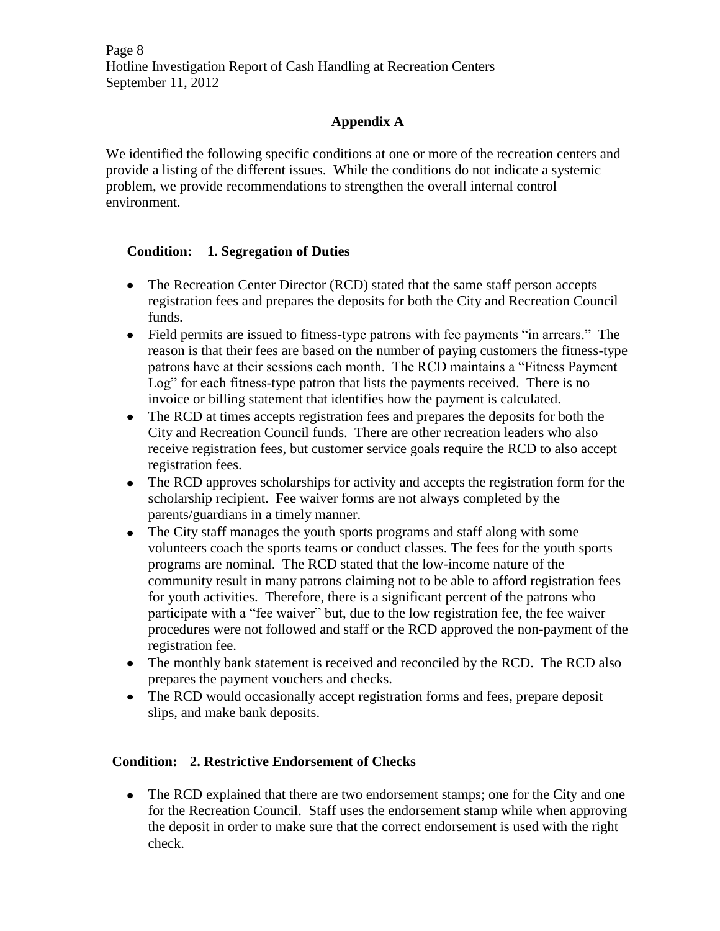Page 8 Hotline Investigation Report of Cash Handling at Recreation Centers September 11, 2012

# **Appendix A**

We identified the following specific conditions at one or more of the recreation centers and provide a listing of the different issues. While the conditions do not indicate a systemic problem, we provide recommendations to strengthen the overall internal control environment.

## **Condition: 1. Segregation of Duties**

- The Recreation Center Director (RCD) stated that the same staff person accepts registration fees and prepares the deposits for both the City and Recreation Council funds.
- Field permits are issued to fitness-type patrons with fee payments "in arrears." The reason is that their fees are based on the number of paying customers the fitness-type patrons have at their sessions each month. The RCD maintains a "Fitness Payment Log" for each fitness-type patron that lists the payments received. There is no invoice or billing statement that identifies how the payment is calculated.
- The RCD at times accepts registration fees and prepares the deposits for both the City and Recreation Council funds. There are other recreation leaders who also receive registration fees, but customer service goals require the RCD to also accept registration fees.
- The RCD approves scholarships for activity and accepts the registration form for the scholarship recipient. Fee waiver forms are not always completed by the parents/guardians in a timely manner.
- The City staff manages the youth sports programs and staff along with some volunteers coach the sports teams or conduct classes. The fees for the youth sports programs are nominal. The RCD stated that the low-income nature of the community result in many patrons claiming not to be able to afford registration fees for youth activities. Therefore, there is a significant percent of the patrons who participate with a "fee waiver" but, due to the low registration fee, the fee waiver procedures were not followed and staff or the RCD approved the non-payment of the registration fee.
- The monthly bank statement is received and reconciled by the RCD. The RCD also prepares the payment vouchers and checks.
- The RCD would occasionally accept registration forms and fees, prepare deposit slips, and make bank deposits.

## **Condition: 2. Restrictive Endorsement of Checks**

• The RCD explained that there are two endorsement stamps; one for the City and one for the Recreation Council. Staff uses the endorsement stamp while when approving the deposit in order to make sure that the correct endorsement is used with the right check.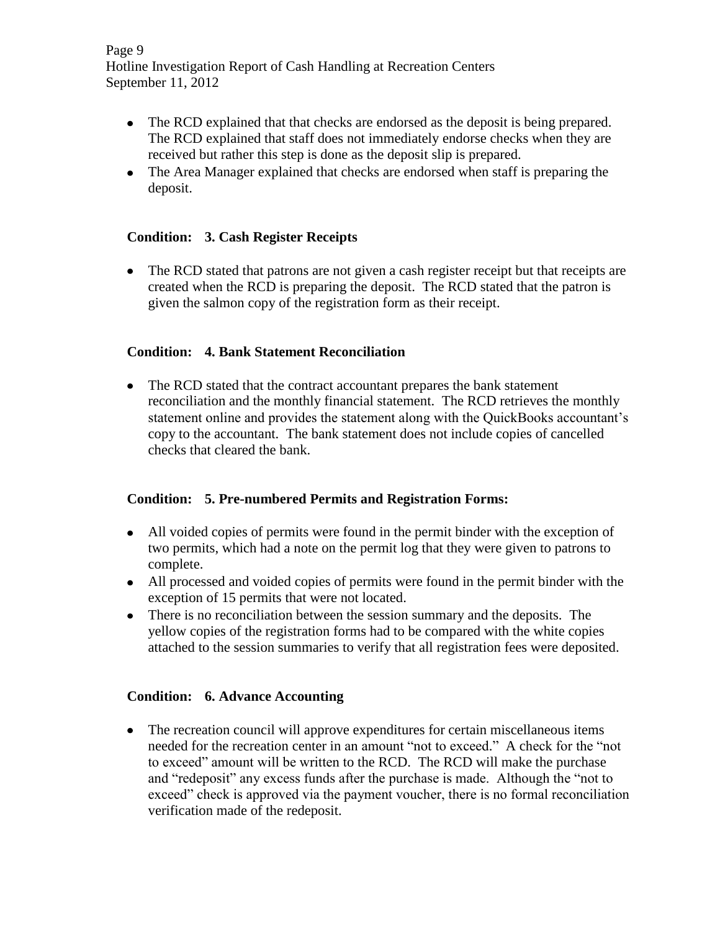Page 9 Hotline Investigation Report of Cash Handling at Recreation Centers September 11, 2012

- The RCD explained that that checks are endorsed as the deposit is being prepared. The RCD explained that staff does not immediately endorse checks when they are received but rather this step is done as the deposit slip is prepared.
- The Area Manager explained that checks are endorsed when staff is preparing the deposit.

## **Condition: 3. Cash Register Receipts**

• The RCD stated that patrons are not given a cash register receipt but that receipts are created when the RCD is preparing the deposit. The RCD stated that the patron is given the salmon copy of the registration form as their receipt.

## **Condition: 4. Bank Statement Reconciliation**

• The RCD stated that the contract accountant prepares the bank statement reconciliation and the monthly financial statement. The RCD retrieves the monthly statement online and provides the statement along with the QuickBooks accountant's copy to the accountant. The bank statement does not include copies of cancelled checks that cleared the bank.

## **Condition: 5. Pre-numbered Permits and Registration Forms:**

- All voided copies of permits were found in the permit binder with the exception of two permits, which had a note on the permit log that they were given to patrons to complete.
- All processed and voided copies of permits were found in the permit binder with the exception of 15 permits that were not located.
- There is no reconciliation between the session summary and the deposits. The yellow copies of the registration forms had to be compared with the white copies attached to the session summaries to verify that all registration fees were deposited.

# **Condition: 6. Advance Accounting**

• The recreation council will approve expenditures for certain miscellaneous items needed for the recreation center in an amount "not to exceed." A check for the "not to exceed" amount will be written to the RCD. The RCD will make the purchase and "redeposit" any excess funds after the purchase is made. Although the "not to exceed" check is approved via the payment voucher, there is no formal reconciliation verification made of the redeposit.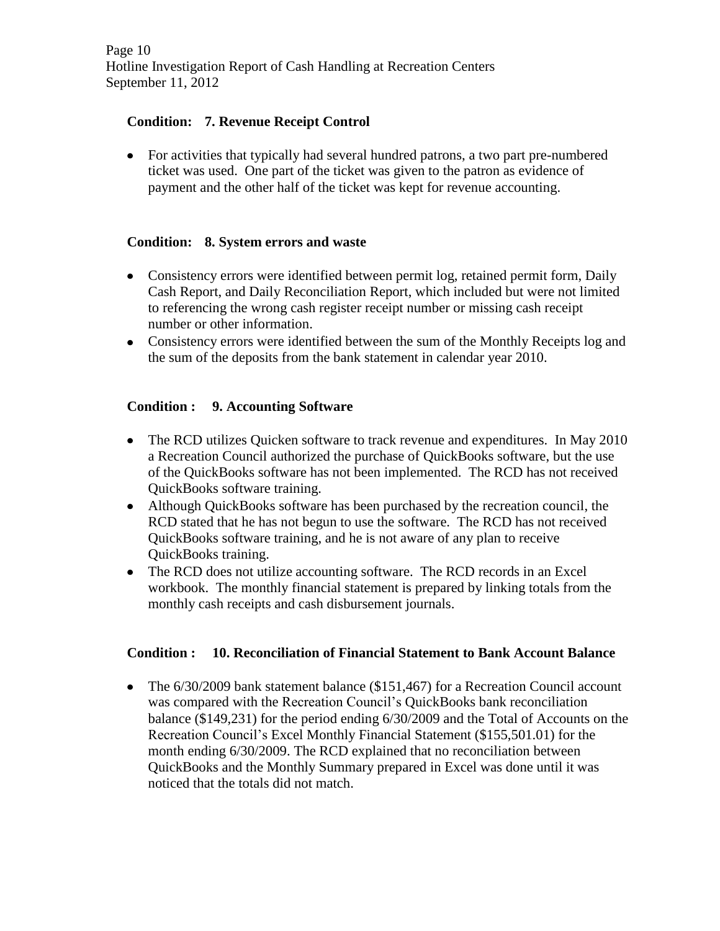# **Condition: 7. Revenue Receipt Control**

For activities that typically had several hundred patrons, a two part pre-numbered ticket was used. One part of the ticket was given to the patron as evidence of payment and the other half of the ticket was kept for revenue accounting.

## **Condition: 8. System errors and waste**

- Consistency errors were identified between permit log, retained permit form, Daily Cash Report, and Daily Reconciliation Report, which included but were not limited to referencing the wrong cash register receipt number or missing cash receipt number or other information.
- Consistency errors were identified between the sum of the Monthly Receipts log and the sum of the deposits from the bank statement in calendar year 2010.

# **Condition : 9. Accounting Software**

- The RCD utilizes Quicken software to track revenue and expenditures. In May 2010 a Recreation Council authorized the purchase of QuickBooks software, but the use of the QuickBooks software has not been implemented. The RCD has not received QuickBooks software training.
- Although QuickBooks software has been purchased by the recreation council, the RCD stated that he has not begun to use the software. The RCD has not received QuickBooks software training, and he is not aware of any plan to receive QuickBooks training.
- The RCD does not utilize accounting software. The RCD records in an Excel workbook. The monthly financial statement is prepared by linking totals from the monthly cash receipts and cash disbursement journals.

## **Condition : 10. Reconciliation of Financial Statement to Bank Account Balance**

• The 6/30/2009 bank statement balance (\$151,467) for a Recreation Council account was compared with the Recreation Council's QuickBooks bank reconciliation balance (\$149,231) for the period ending 6/30/2009 and the Total of Accounts on the Recreation Council's Excel Monthly Financial Statement (\$155,501.01) for the month ending 6/30/2009. The RCD explained that no reconciliation between QuickBooks and the Monthly Summary prepared in Excel was done until it was noticed that the totals did not match.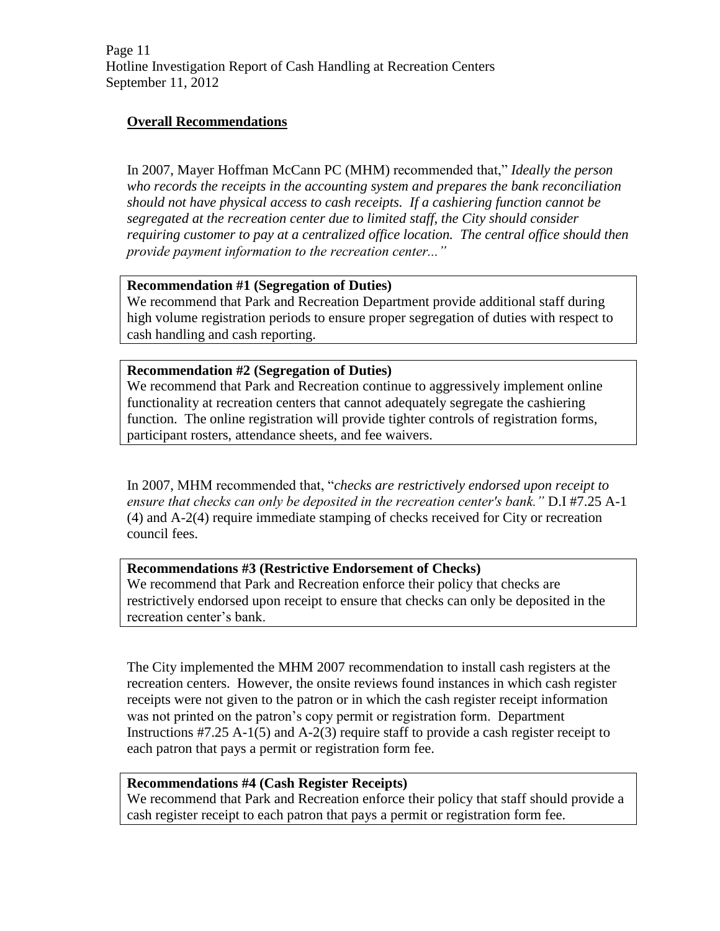Page 11 Hotline Investigation Report of Cash Handling at Recreation Centers September 11, 2012

# **Overall Recommendations**

In 2007, Mayer Hoffman McCann PC (MHM) recommended that," *Ideally the person who records the receipts in the accounting system and prepares the bank reconciliation should not have physical access to cash receipts. If a cashiering function cannot be segregated at the recreation center due to limited staff, the City should consider requiring customer to pay at a centralized office location. The central office should then provide payment information to the recreation center..."* 

### **Recommendation #1 (Segregation of Duties)**

We recommend that Park and Recreation Department provide additional staff during high volume registration periods to ensure proper segregation of duties with respect to cash handling and cash reporting.

#### **Recommendation #2 (Segregation of Duties)**

We recommend that Park and Recreation continue to aggressively implement online functionality at recreation centers that cannot adequately segregate the cashiering function. The online registration will provide tighter controls of registration forms, participant rosters, attendance sheets, and fee waivers.

In 2007, MHM recommended that, "*checks are restrictively endorsed upon receipt to ensure that checks can only be deposited in the recreation center's bank."* D.I #7.25 A-1 (4) and A-2(4) require immediate stamping of checks received for City or recreation council fees.

## **Recommendations #3 (Restrictive Endorsement of Checks)**

We recommend that Park and Recreation enforce their policy that checks are restrictively endorsed upon receipt to ensure that checks can only be deposited in the recreation center's bank.

The City implemented the MHM 2007 recommendation to install cash registers at the recreation centers. However, the onsite reviews found instances in which cash register receipts were not given to the patron or in which the cash register receipt information was not printed on the patron's copy permit or registration form. Department Instructions #7.25 A-1(5) and A-2(3) require staff to provide a cash register receipt to each patron that pays a permit or registration form fee.

## **Recommendations #4 (Cash Register Receipts)**

We recommend that Park and Recreation enforce their policy that staff should provide a cash register receipt to each patron that pays a permit or registration form fee.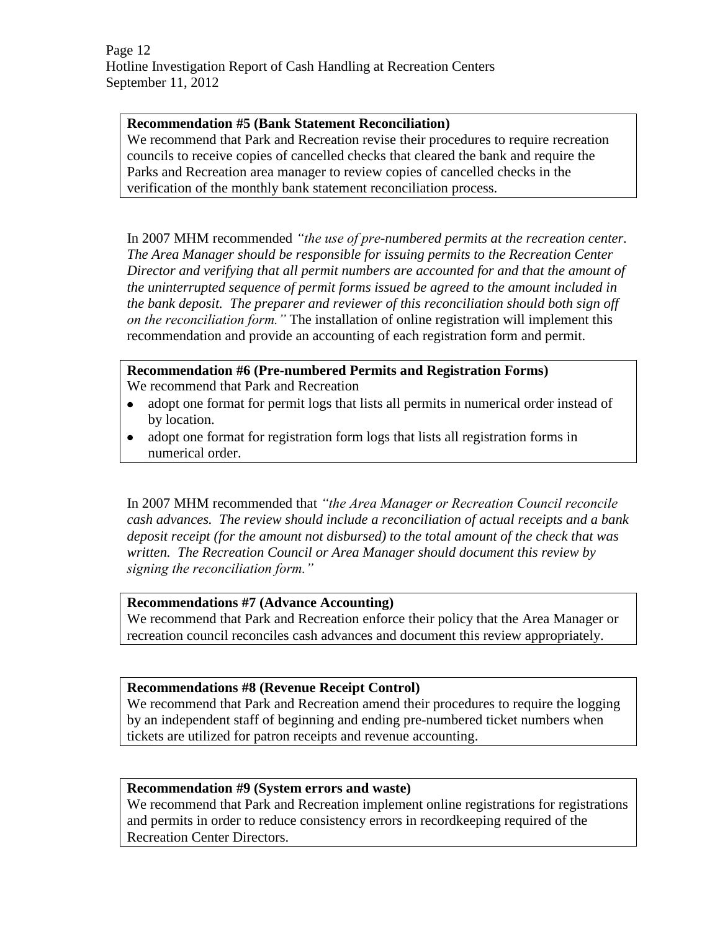Page 12 Hotline Investigation Report of Cash Handling at Recreation Centers September 11, 2012

## **Recommendation #5 (Bank Statement Reconciliation)**

We recommend that Park and Recreation revise their procedures to require recreation councils to receive copies of cancelled checks that cleared the bank and require the Parks and Recreation area manager to review copies of cancelled checks in the verification of the monthly bank statement reconciliation process.

In 2007 MHM recommended *"the use of pre-numbered permits at the recreation center. The Area Manager should be responsible for issuing permits to the Recreation Center Director and verifying that all permit numbers are accounted for and that the amount of the uninterrupted sequence of permit forms issued be agreed to the amount included in the bank deposit. The preparer and reviewer of this reconciliation should both sign off on the reconciliation form."* The installation of online registration will implement this recommendation and provide an accounting of each registration form and permit.

**Recommendation #6 (Pre-numbered Permits and Registration Forms)** We recommend that Park and Recreation

- adopt one format for permit logs that lists all permits in numerical order instead of by location.
- adopt one format for registration form logs that lists all registration forms in  $\bullet$ numerical order.

In 2007 MHM recommended that *"the Area Manager or Recreation Council reconcile cash advances. The review should include a reconciliation of actual receipts and a bank deposit receipt (for the amount not disbursed) to the total amount of the check that was written. The Recreation Council or Area Manager should document this review by signing the reconciliation form."* 

#### **Recommendations #7 (Advance Accounting)**

We recommend that Park and Recreation enforce their policy that the Area Manager or recreation council reconciles cash advances and document this review appropriately.

## **Recommendations #8 (Revenue Receipt Control)**

We recommend that Park and Recreation amend their procedures to require the logging by an independent staff of beginning and ending pre-numbered ticket numbers when tickets are utilized for patron receipts and revenue accounting.

## **Recommendation #9 (System errors and waste)**

We recommend that Park and Recreation implement online registrations for registrations and permits in order to reduce consistency errors in recordkeeping required of the Recreation Center Directors.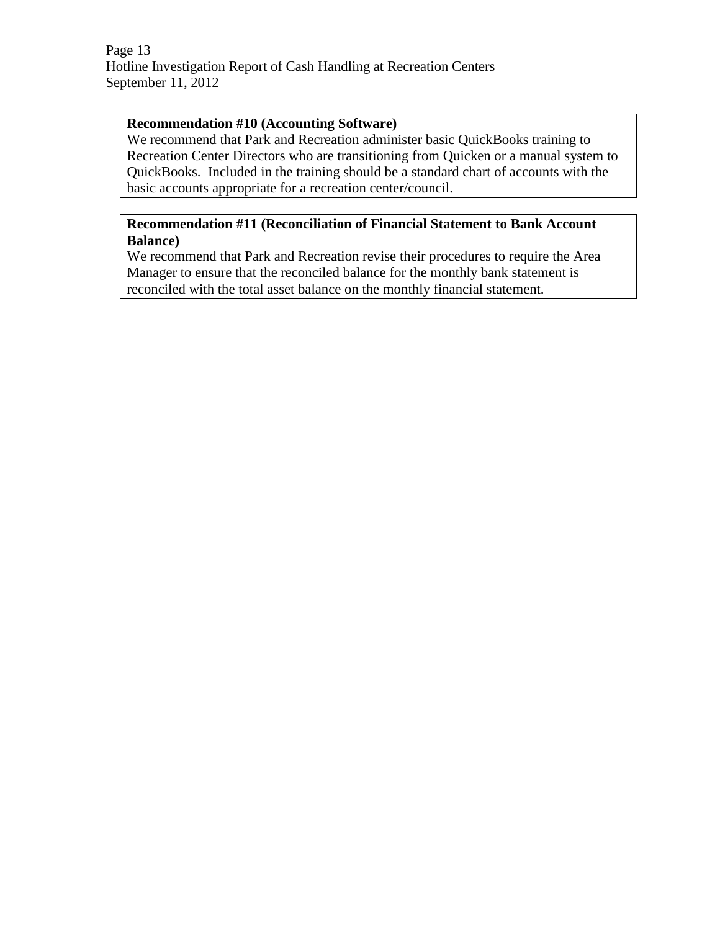Page 13 Hotline Investigation Report of Cash Handling at Recreation Centers September 11, 2012

### **Recommendation #10 (Accounting Software)**

We recommend that Park and Recreation administer basic QuickBooks training to Recreation Center Directors who are transitioning from Quicken or a manual system to QuickBooks. Included in the training should be a standard chart of accounts with the basic accounts appropriate for a recreation center/council.

# **Recommendation #11 (Reconciliation of Financial Statement to Bank Account Balance)**

We recommend that Park and Recreation revise their procedures to require the Area Manager to ensure that the reconciled balance for the monthly bank statement is reconciled with the total asset balance on the monthly financial statement.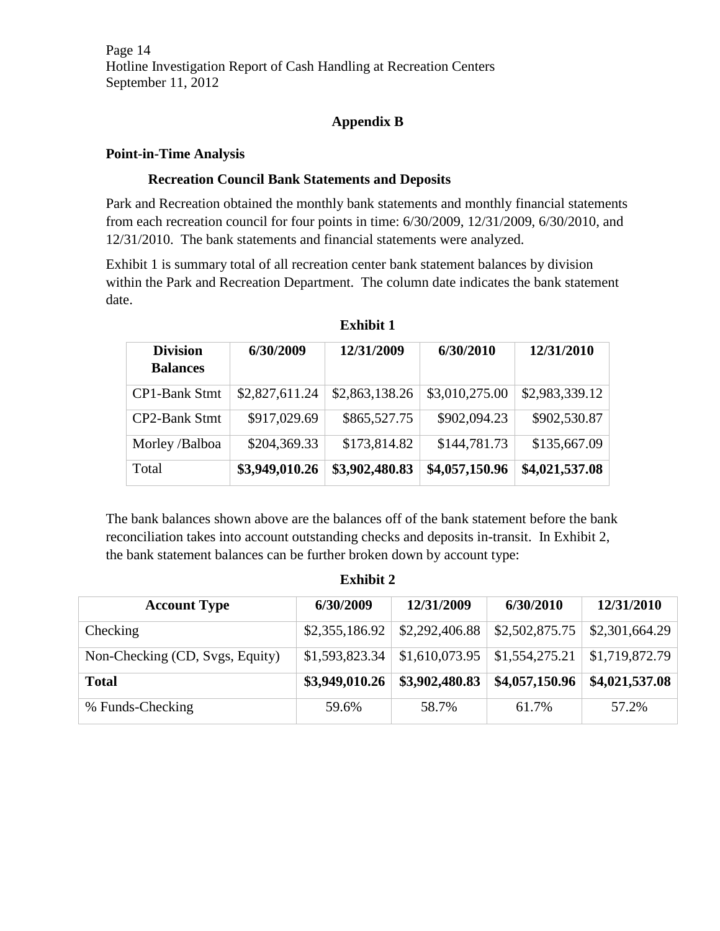Page 14 Hotline Investigation Report of Cash Handling at Recreation Centers September 11, 2012

# **Appendix B**

### **Point-in-Time Analysis**

### **Recreation Council Bank Statements and Deposits**

Park and Recreation obtained the monthly bank statements and monthly financial statements from each recreation council for four points in time: 6/30/2009, 12/31/2009, 6/30/2010, and 12/31/2010. The bank statements and financial statements were analyzed.

Exhibit 1 is summary total of all recreation center bank statement balances by division within the Park and Recreation Department. The column date indicates the bank statement date.

| <b>Division</b><br><b>Balances</b> | 6/30/2009      | 12/31/2009     | 6/30/2010      | 12/31/2010     |
|------------------------------------|----------------|----------------|----------------|----------------|
| <b>CP1-Bank Stmt</b>               | \$2,827,611.24 | \$2,863,138.26 | \$3,010,275.00 | \$2,983,339.12 |
| CP2-Bank Stmt                      | \$917,029.69   | \$865,527.75   | \$902,094.23   | \$902,530.87   |
| Morley /Balboa                     | \$204,369.33   | \$173,814.82   | \$144,781.73   | \$135,667.09   |
| Total                              | \$3,949,010.26 | \$3,902,480.83 | \$4,057,150.96 | \$4,021,537.08 |

**Exhibit 1**

The bank balances shown above are the balances off of the bank statement before the bank reconciliation takes into account outstanding checks and deposits in-transit. In Exhibit 2, the bank statement balances can be further broken down by account type:

| <b>Account Type</b>             | 6/30/2009      | 12/31/2009     | 6/30/2010      | 12/31/2010     |
|---------------------------------|----------------|----------------|----------------|----------------|
| Checking                        | \$2,355,186.92 | \$2,292,406.88 | \$2,502,875.75 | \$2,301,664.29 |
| Non-Checking (CD, Svgs, Equity) | \$1,593,823.34 | \$1,610,073.95 | \$1,554,275.21 | \$1,719,872.79 |
| <b>Total</b>                    | \$3,949,010.26 | \$3,902,480.83 | \$4,057,150.96 | \$4,021,537.08 |
| % Funds-Checking                | 59.6%          | 58.7%          | 61.7%          | 57.2%          |

# **Exhibit 2**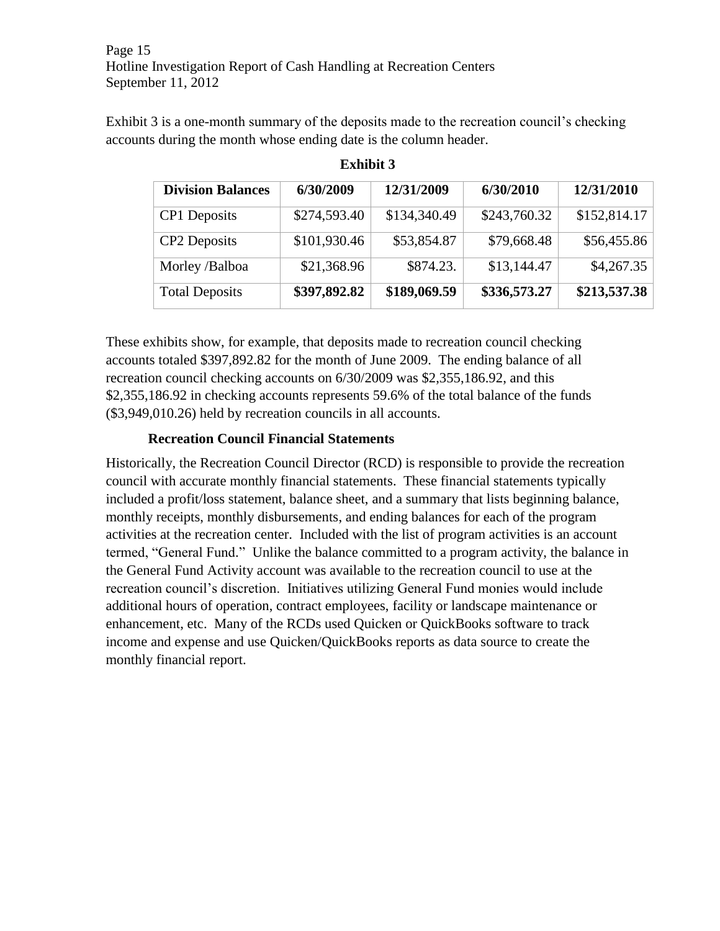Page 15 Hotline Investigation Report of Cash Handling at Recreation Centers September 11, 2012

Exhibit 3 is a one-month summary of the deposits made to the recreation council's checking accounts during the month whose ending date is the column header.

| <b>Division Balances</b> | 6/30/2009    | 12/31/2009   | 6/30/2010    | 12/31/2010   |
|--------------------------|--------------|--------------|--------------|--------------|
| CP1 Deposits             | \$274,593.40 | \$134,340.49 | \$243,760.32 | \$152,814.17 |
| CP2 Deposits             | \$101,930.46 | \$53,854.87  | \$79,668.48  | \$56,455.86  |
| Morley /Balboa           | \$21,368.96  | \$874.23.    | \$13,144.47  | \$4,267.35   |
| <b>Total Deposits</b>    | \$397,892.82 | \$189,069.59 | \$336,573.27 | \$213,537.38 |

**Exhibit 3**

These exhibits show, for example, that deposits made to recreation council checking accounts totaled \$397,892.82 for the month of June 2009. The ending balance of all recreation council checking accounts on 6/30/2009 was \$2,355,186.92, and this \$2,355,186.92 in checking accounts represents 59.6% of the total balance of the funds (\$3,949,010.26) held by recreation councils in all accounts.

# **Recreation Council Financial Statements**

Historically, the Recreation Council Director (RCD) is responsible to provide the recreation council with accurate monthly financial statements. These financial statements typically included a profit/loss statement, balance sheet, and a summary that lists beginning balance, monthly receipts, monthly disbursements, and ending balances for each of the program activities at the recreation center. Included with the list of program activities is an account termed, "General Fund." Unlike the balance committed to a program activity, the balance in the General Fund Activity account was available to the recreation council to use at the recreation council's discretion. Initiatives utilizing General Fund monies would include additional hours of operation, contract employees, facility or landscape maintenance or enhancement, etc. Many of the RCDs used Quicken or QuickBooks software to track income and expense and use Quicken/QuickBooks reports as data source to create the monthly financial report.